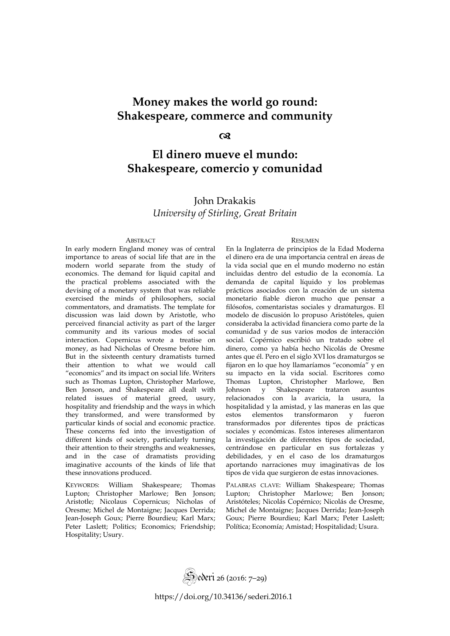# **Money makes the world go round: Shakespeare, commerce and community**

#### ෬

# **El dinero mueve el mundo: Shakespeare, comercio y comunidad**

## John Drakakis *University of Stirling, Great Britain*

In early modern England money was of central importance to areas of social life that are in the modern world separate from the study of economics. The demand for liquid capital and the practical problems associated with the devising of a monetary system that was reliable exercised the minds of philosophers, social commentators, and dramatists. The template for discussion was laid down by Aristotle, who perceived financial activity as part of the larger community and its various modes of social interaction. Copernicus wrote a treatise on money, as had Nicholas of Oresme before him. But in the sixteenth century dramatists turned their attention to what we would call "economics" and its impact on social life. Writers such as Thomas Lupton, Christopher Marlowe, Ben Jonson, and Shakespeare all dealt with related issues of material greed, usury, hospitality and friendship and the ways in which they transformed, and were transformed by particular kinds of social and economic practice. These concerns fed into the investigation of different kinds of society, particularly turning their attention to their strengths and weaknesses, and in the case of dramatists providing imaginative accounts of the kinds of life that these innovations produced.

KEYWORDS: William Shakespeare; Thomas Lupton; Christopher Marlowe; Ben Jonson; Aristotle; Nicolaus Copernicus; Nicholas of Oresme; Michel de Montaigne; Jacques Derrida; Jean-Joseph Goux; Pierre Bourdieu; Karl Marx; Peter Laslett; Politics; Economics; Friendship; Hospitality; Usury.

#### ABSTRACT RESUMEN

En la Inglaterra de principios de la Edad Moderna el dinero era de una importancia central en áreas de la vida social que en el mundo moderno no están incluidas dentro del estudio de la economía. La demanda de capital líquido y los problemas prácticos asociados con la creación de un sistema monetario fiable dieron mucho que pensar a filósofos, comentaristas sociales y dramaturgos. El modelo de discusión lo propuso Aristóteles, quien consideraba la actividad financiera como parte de la comunidad y de sus varios modos de interacción social. Copérnico escribió un tratado sobre el dinero, como ya había hecho Nicolás de Oresme antes que él. Pero en el siglo XVI los dramaturgos se fijaron en lo que hoy llamaríamos "economía" y en su impacto en la vida social. Escritores como Thomas Lupton, Christopher Marlowe, Ben Johnson y Shakespeare trataron asuntos relacionados con la avaricia, la usura, la hospitalidad y la amistad, y las maneras en las que estos elementos transformaron y fueron transformados por diferentes tipos de prácticas sociales y económicas. Estos intereses alimentaron la investigación de diferentes tipos de sociedad, centrándose en particular en sus fortalezas y debilidades, y en el caso de los dramaturgos aportando narraciones muy imaginativas de los tipos de vida que surgieron de estas innovaciones.

PALABRAS CLAVE: William Shakespeare; Thomas Lupton; Christopher Marlowe; Ben Jonson; Aristóteles; Nicolás Copérnico; Nicolás de Oresme, Michel de Montaigne; Jacques Derrida; Jean-Joseph Goux; Pierre Bourdieu; Karl Marx; Peter Laslett; Política; Economía; Amistad; Hospitalidad; Usura.



<https://doi.org/10.34136/sederi.2016.1>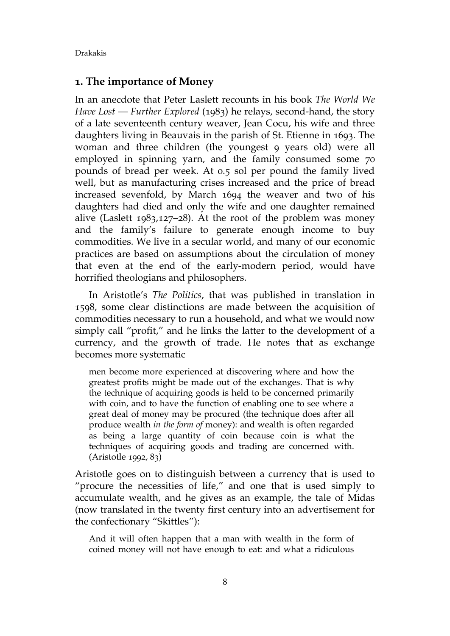#### **1. The importance of Money**

In an anecdote that Peter Laslett recounts in his book *The World We Have Lost — Further Explored* (1983) he relays, second-hand, the story of a late seventeenth century weaver, Jean Cocu, his wife and three daughters living in Beauvais in the parish of St. Etienne in 1693. The woman and three children (the youngest 9 years old) were all employed in spinning yarn, and the family consumed some 70 pounds of bread per week. At 0.5 sol per pound the family lived well, but as manufacturing crises increased and the price of bread increased sevenfold, by March 1694 the weaver and two of his daughters had died and only the wife and one daughter remained alive (Laslett 1983,127–28). At the root of the problem was money and the family's failure to generate enough income to buy commodities. We live in a secular world, and many of our economic practices are based on assumptions about the circulation of money that even at the end of the early-modern period, would have horrified theologians and philosophers.

In Aristotle's *The Politics*, that was published in translation in 1598, some clear distinctions are made between the acquisition of commodities necessary to run a household, and what we would now simply call "profit," and he links the latter to the development of a currency, and the growth of trade. He notes that as exchange becomes more systematic

men become more experienced at discovering where and how the greatest profits might be made out of the exchanges. That is why the technique of acquiring goods is held to be concerned primarily with coin, and to have the function of enabling one to see where a great deal of money may be procured (the technique does after all produce wealth *in the form of* money): and wealth is often regarded as being a large quantity of coin because coin is what the techniques of acquiring goods and trading are concerned with. (Aristotle 1992, 83)

Aristotle goes on to distinguish between a currency that is used to "procure the necessities of life," and one that is used simply to accumulate wealth, and he gives as an example, the tale of Midas (now translated in the twenty first century into an advertisement for the confectionary "Skittles"):

And it will often happen that a man with wealth in the form of coined money will not have enough to eat: and what a ridiculous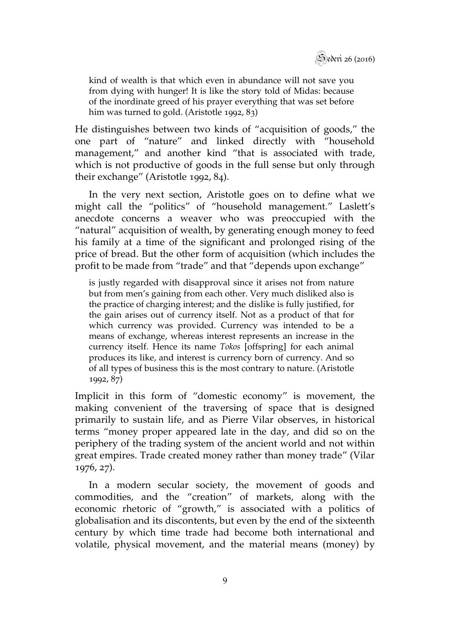

kind of wealth is that which even in abundance will not save you from dying with hunger! It is like the story told of Midas: because of the inordinate greed of his prayer everything that was set before him was turned to gold. (Aristotle 1992, 83)

He distinguishes between two kinds of "acquisition of goods," the one part of "nature" and linked directly with "household management," and another kind "that is associated with trade, which is not productive of goods in the full sense but only through their exchange" (Aristotle 1992, 84).

In the very next section, Aristotle goes on to define what we might call the "politics" of "household management." Laslett's anecdote concerns a weaver who was preoccupied with the "natural" acquisition of wealth, by generating enough money to feed his family at a time of the significant and prolonged rising of the price of bread. But the other form of acquisition (which includes the profit to be made from "trade" and that "depends upon exchange"

is justly regarded with disapproval since it arises not from nature but from men's gaining from each other. Very much disliked also is the practice of charging interest; and the dislike is fully justified, for the gain arises out of currency itself. Not as a product of that for which currency was provided. Currency was intended to be a means of exchange, whereas interest represents an increase in the currency itself. Hence its name *Tokos* [offspring] for each animal produces its like, and interest is currency born of currency. And so of all types of business this is the most contrary to nature. (Aristotle 1992, 87)

Implicit in this form of "domestic economy" is movement, the making convenient of the traversing of space that is designed primarily to sustain life, and as Pierre Vilar observes, in historical terms "money proper appeared late in the day, and did so on the periphery of the trading system of the ancient world and not within great empires. Trade created money rather than money trade" (Vilar 1976, 27).

In a modern secular society, the movement of goods and commodities, and the "creation" of markets, along with the economic rhetoric of "growth," is associated with a politics of globalisation and its discontents, but even by the end of the sixteenth century by which time trade had become both international and volatile, physical movement, and the material means (money) by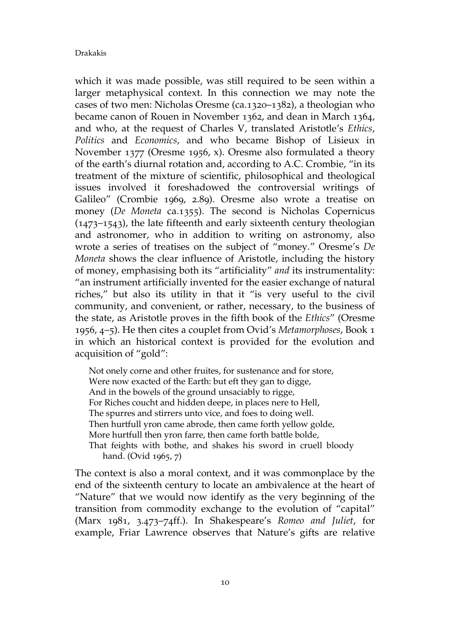which it was made possible, was still required to be seen within a larger metaphysical context. In this connection we may note the cases of two men: Nicholas Oresme (ca.1320–1382), a theologian who became canon of Rouen in November 1362, and dean in March 1364, and who, at the request of Charles V, translated Aristotle's *Ethics*, *Politics* and *Economics*, and who became Bishop of Lisieux in November 1377 (Oresme 1956, x). Oresme also formulated a theory of the earth's diurnal rotation and, according to A.C. Crombie, "in its treatment of the mixture of scientific, philosophical and theological issues involved it foreshadowed the controversial writings of Galileo" (Crombie 1969, 2.89). Oresme also wrote a treatise on money (*De Moneta* ca.1355). The second is Nicholas Copernicus (1473–1543), the late fifteenth and early sixteenth century theologian and astronomer, who in addition to writing on astronomy, also wrote a series of treatises on the subject of "money." Oresme's *De Moneta* shows the clear influence of Aristotle, including the history of money, emphasising both its "artificiality" *and* its instrumentality: "an instrument artificially invented for the easier exchange of natural riches," but also its utility in that it "is very useful to the civil community, and convenient, or rather, necessary, to the business of the state, as Aristotle proves in the fifth book of the *Ethics*" (Oresme 1956, 4–5). He then cites a couplet from Ovid's *Metamorphoses*, Book 1 in which an historical context is provided for the evolution and acquisition of "gold":

Not onely corne and other fruites, for sustenance and for store, Were now exacted of the Earth: but eft they gan to digge, And in the bowels of the ground unsaciably to rigge, For Riches coucht and hidden deepe, in places nere to Hell, The spurres and stirrers unto vice, and foes to doing well. Then hurtfull yron came abrode, then came forth yellow golde, More hurtfull then yron farre, then came forth battle bolde, That feights with bothe, and shakes his sword in cruell bloody hand. (Ovid 1965, 7)

The context is also a moral context, and it was commonplace by the end of the sixteenth century to locate an ambivalence at the heart of "Nature" that we would now identify as the very beginning of the transition from commodity exchange to the evolution of "capital" (Marx 1981, 3.473–74ff.). In Shakespeare's *Romeo and Juliet*, for example, Friar Lawrence observes that Nature's gifts are relative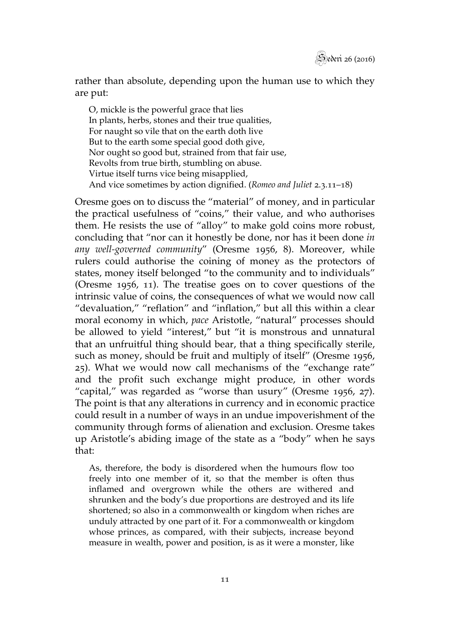rather than absolute, depending upon the human use to which they are put:

O, mickle is the powerful grace that lies In plants, herbs, stones and their true qualities, For naught so vile that on the earth doth live But to the earth some special good doth give, Nor ought so good but, strained from that fair use, Revolts from true birth, stumbling on abuse. Virtue itself turns vice being misapplied, And vice sometimes by action dignified. (*Romeo and Juliet* 2.3.11–18)

Oresme goes on to discuss the "material" of money, and in particular the practical usefulness of "coins," their value, and who authorises them. He resists the use of "alloy" to make gold coins more robust, concluding that "nor can it honestly be done, nor has it been done *in any well-governed community*" (Oresme 1956, 8). Moreover, while rulers could authorise the coining of money as the protectors of states, money itself belonged "to the community and to individuals" (Oresme 1956, 11). The treatise goes on to cover questions of the intrinsic value of coins, the consequences of what we would now call "devaluation," "reflation" and "inflation," but all this within a clear moral economy in which, *pace* Aristotle, "natural" processes should be allowed to yield "interest," but "it is monstrous and unnatural that an unfruitful thing should bear, that a thing specifically sterile, such as money, should be fruit and multiply of itself" (Oresme 1956, 25). What we would now call mechanisms of the "exchange rate" and the profit such exchange might produce, in other words "capital," was regarded as "worse than usury" (Oresme 1956, 27). The point is that any alterations in currency and in economic practice could result in a number of ways in an undue impoverishment of the community through forms of alienation and exclusion. Oresme takes up Aristotle's abiding image of the state as a "body" when he says that:

As, therefore, the body is disordered when the humours flow too freely into one member of it, so that the member is often thus inflamed and overgrown while the others are withered and shrunken and the body's due proportions are destroyed and its life shortened; so also in a commonwealth or kingdom when riches are unduly attracted by one part of it. For a commonwealth or kingdom whose princes, as compared, with their subjects, increase beyond measure in wealth, power and position, is as it were a monster, like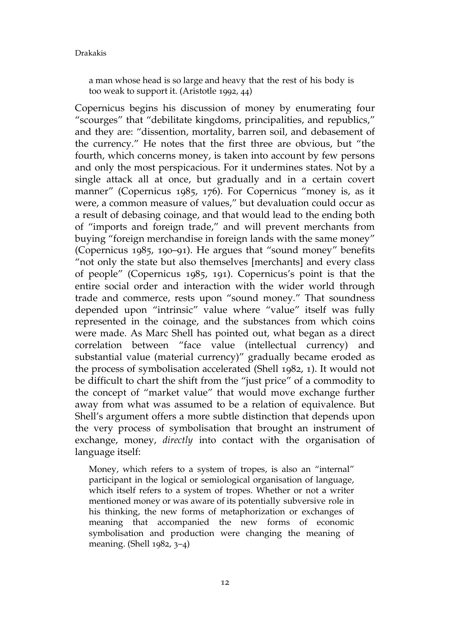a man whose head is so large and heavy that the rest of his body is too weak to support it. (Aristotle 1992, 44)

Copernicus begins his discussion of money by enumerating four "scourges" that "debilitate kingdoms, principalities, and republics," and they are: "dissention, mortality, barren soil, and debasement of the currency." He notes that the first three are obvious, but "the fourth, which concerns money, is taken into account by few persons and only the most perspicacious. For it undermines states. Not by a single attack all at once, but gradually and in a certain covert manner" (Copernicus 1985, 176). For Copernicus "money is, as it were, a common measure of values," but devaluation could occur as a result of debasing coinage, and that would lead to the ending both of "imports and foreign trade," and will prevent merchants from buying "foreign merchandise in foreign lands with the same money" (Copernicus 1985, 190–91). He argues that "sound money" benefits "not only the state but also themselves [merchants] and every class of people" (Copernicus 1985, 191). Copernicus's point is that the entire social order and interaction with the wider world through trade and commerce, rests upon "sound money." That soundness depended upon "intrinsic" value where "value" itself was fully represented in the coinage, and the substances from which coins were made. As Marc Shell has pointed out, what began as a direct correlation between "face value (intellectual currency) and substantial value (material currency)" gradually became eroded as the process of symbolisation accelerated (Shell 1982, 1). It would not be difficult to chart the shift from the "just price" of a commodity to the concept of "market value" that would move exchange further away from what was assumed to be a relation of equivalence. But Shell's argument offers a more subtle distinction that depends upon the very process of symbolisation that brought an instrument of exchange, money, *directly* into contact with the organisation of language itself:

Money, which refers to a system of tropes, is also an "internal" participant in the logical or semiological organisation of language, which itself refers to a system of tropes. Whether or not a writer mentioned money or was aware of its potentially subversive role in his thinking, the new forms of metaphorization or exchanges of meaning that accompanied the new forms of economic symbolisation and production were changing the meaning of meaning. (Shell 1982, 3–4)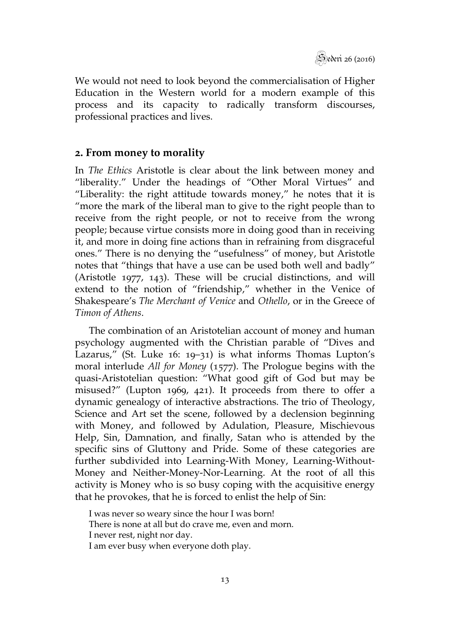Sederi 26 (2016)

We would not need to look beyond the commercialisation of Higher Education in the Western world for a modern example of this process and its capacity to radically transform discourses, professional practices and lives.

## **2. From money to morality**

In *The Ethics* Aristotle is clear about the link between money and "liberality." Under the headings of "Other Moral Virtues" and "Liberality: the right attitude towards money," he notes that it is "more the mark of the liberal man to give to the right people than to receive from the right people, or not to receive from the wrong people; because virtue consists more in doing good than in receiving it, and more in doing fine actions than in refraining from disgraceful ones." There is no denying the "usefulness" of money, but Aristotle notes that "things that have a use can be used both well and badly" (Aristotle 1977, 143). These will be crucial distinctions, and will extend to the notion of "friendship," whether in the Venice of Shakespeare's *The Merchant of Venice* and *Othello*, or in the Greece of *Timon of Athens*.

The combination of an Aristotelian account of money and human psychology augmented with the Christian parable of "Dives and Lazarus," (St. Luke 16: 19–31) is what informs Thomas Lupton's moral interlude *All for Money* (1577). The Prologue begins with the quasi-Aristotelian question: "What good gift of God but may be misused?" (Lupton 1969, 421). It proceeds from there to offer a dynamic genealogy of interactive abstractions. The trio of Theology, Science and Art set the scene, followed by a declension beginning with Money, and followed by Adulation, Pleasure, Mischievous Help, Sin, Damnation, and finally, Satan who is attended by the specific sins of Gluttony and Pride. Some of these categories are further subdivided into Learning-With Money, Learning-Without-Money and Neither-Money-Nor-Learning. At the root of all this activity is Money who is so busy coping with the acquisitive energy that he provokes, that he is forced to enlist the help of Sin:

I was never so weary since the hour I was born! There is none at all but do crave me, even and morn. I never rest, night nor day. I am ever busy when everyone doth play.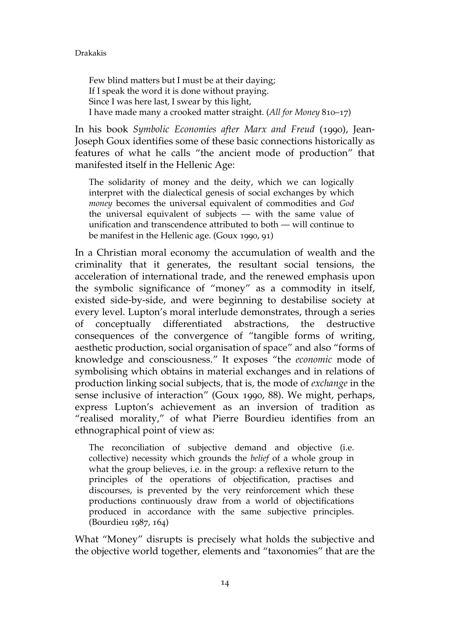Few blind matters but I must be at their daying; If I speak the word it is done without praying. Since I was here last, I swear by this light, I have made many a crooked matter straight. (*All for Money* 810–17)

In his book *Symbolic Economies after Marx and Freud* (1990), Jean-Joseph Goux identifies some of these basic connections historically as features of what he calls "the ancient mode of production" that manifested itself in the Hellenic Age:

The solidarity of money and the deity, which we can logically interpret with the dialectical genesis of social exchanges by which *money* becomes the universal equivalent of commodities and *God* the universal equivalent of subjects — with the same value of unification and transcendence attributed to both — will continue to be manifest in the Hellenic age. (Goux 1990, 91)

In a Christian moral economy the accumulation of wealth and the criminality that it generates, the resultant social tensions, the acceleration of international trade, and the renewed emphasis upon the symbolic significance of "money" as a commodity in itself, existed side-by-side, and were beginning to destabilise society at every level. Lupton's moral interlude demonstrates, through a series of conceptually differentiated abstractions, the destructive consequences of the convergence of "tangible forms of writing, aesthetic production, social organisation of space" and also "forms of knowledge and consciousness." It exposes "the *economic* mode of symbolising which obtains in material exchanges and in relations of production linking social subjects, that is, the mode of *exchange* in the sense inclusive of interaction" (Goux 1990, 88). We might, perhaps, express Lupton's achievement as an inversion of tradition as "realised morality," of what Pierre Bourdieu identifies from an ethnographical point of view as:

The reconciliation of subjective demand and objective (i.e. collective) necessity which grounds the *belief* of a whole group in what the group believes, i.e. in the group: a reflexive return to the principles of the operations of objectification, practises and discourses, is prevented by the very reinforcement which these productions continuously draw from a world of objectifications produced in accordance with the same subjective principles. (Bourdieu 1987, 164)

What "Money" disrupts is precisely what holds the subjective and the objective world together, elements and "taxonomies" that are the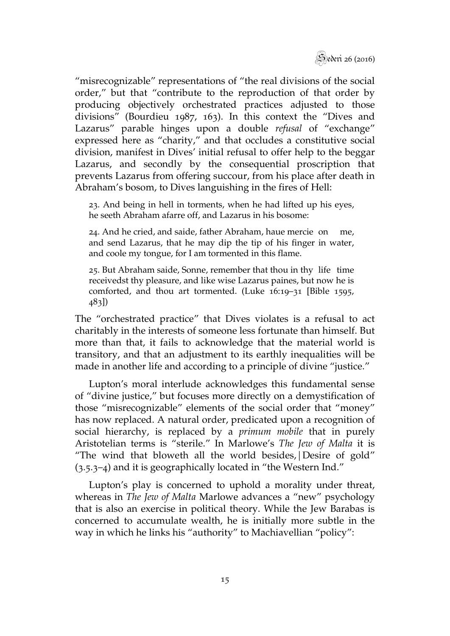

"misrecognizable" representations of "the real divisions of the social order," but that "contribute to the reproduction of that order by producing objectively orchestrated practices adjusted to those divisions" (Bourdieu 1987, 163). In this context the "Dives and Lazarus" parable hinges upon a double *refusal* of "exchange" expressed here as "charity," and that occludes a constitutive social division, manifest in Dives' initial refusal to offer help to the beggar Lazarus, and secondly by the consequential proscription that prevents Lazarus from offering succour, from his place after death in Abraham's bosom, to Dives languishing in the fires of Hell:

23. And being in hell in torments, when he had lifted up his eyes, he seeth Abraham afarre off, and Lazarus in his bosome:

24. And he cried, and saide, father Abraham, haue mercie on me, and send Lazarus, that he may dip the tip of his finger in water, and coole my tongue, for I am tormented in this flame.

25. But Abraham saide, Sonne, remember that thou in thy life time receivedst thy pleasure, and like wise Lazarus paines, but now he is comforted, and thou art tormented. (Luke 16:19–31 [Bible 1595, 483])

The "orchestrated practice" that Dives violates is a refusal to act charitably in the interests of someone less fortunate than himself. But more than that, it fails to acknowledge that the material world is transitory, and that an adjustment to its earthly inequalities will be made in another life and according to a principle of divine "justice."

Lupton's moral interlude acknowledges this fundamental sense of "divine justice," but focuses more directly on a demystification of those "misrecognizable" elements of the social order that "money" has now replaced. A natural order, predicated upon a recognition of social hierarchy, is replaced by a *primum mobile* that in purely Aristotelian terms is "sterile." In Marlowe's *The Jew of Malta* it is "The wind that bloweth all the world besides,|Desire of gold" (3.5.3–4) and it is geographically located in "the Western Ind."

Lupton's play is concerned to uphold a morality under threat, whereas in *The Jew of Malta* Marlowe advances a "new" psychology that is also an exercise in political theory. While the Jew Barabas is concerned to accumulate wealth, he is initially more subtle in the way in which he links his "authority" to Machiavellian "policy":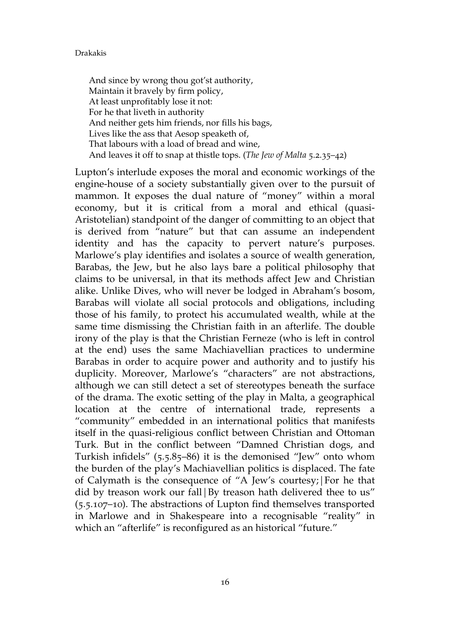And since by wrong thou got'st authority, Maintain it bravely by firm policy, At least unprofitably lose it not: For he that liveth in authority And neither gets him friends, nor fills his bags, Lives like the ass that Aesop speaketh of, That labours with a load of bread and wine, And leaves it off to snap at thistle tops. (*The Jew of Malta* 5.2.35–42)

Lupton's interlude exposes the moral and economic workings of the engine-house of a society substantially given over to the pursuit of mammon. It exposes the dual nature of "money" within a moral economy, but it is critical from a moral and ethical (quasi-Aristotelian) standpoint of the danger of committing to an object that is derived from "nature" but that can assume an independent identity and has the capacity to pervert nature's purposes. Marlowe's play identifies and isolates a source of wealth generation, Barabas, the Jew, but he also lays bare a political philosophy that claims to be universal, in that its methods affect Jew and Christian alike. Unlike Dives, who will never be lodged in Abraham's bosom, Barabas will violate all social protocols and obligations, including those of his family, to protect his accumulated wealth, while at the same time dismissing the Christian faith in an afterlife. The double irony of the play is that the Christian Ferneze (who is left in control at the end) uses the same Machiavellian practices to undermine Barabas in order to acquire power and authority and to justify his duplicity. Moreover, Marlowe's "characters" are not abstractions, although we can still detect a set of stereotypes beneath the surface of the drama. The exotic setting of the play in Malta, a geographical location at the centre of international trade, represents a "community" embedded in an international politics that manifests itself in the quasi-religious conflict between Christian and Ottoman Turk. But in the conflict between "Damned Christian dogs, and Turkish infidels" (5.5.85–86) it is the demonised "Jew" onto whom the burden of the play's Machiavellian politics is displaced. The fate of Calymath is the consequence of "A Jew's courtesy;|For he that did by treason work our fall By treason hath delivered thee to us" (5.5.107–10). The abstractions of Lupton find themselves transported in Marlowe and in Shakespeare into a recognisable "reality" in which an "afterlife" is reconfigured as an historical "future."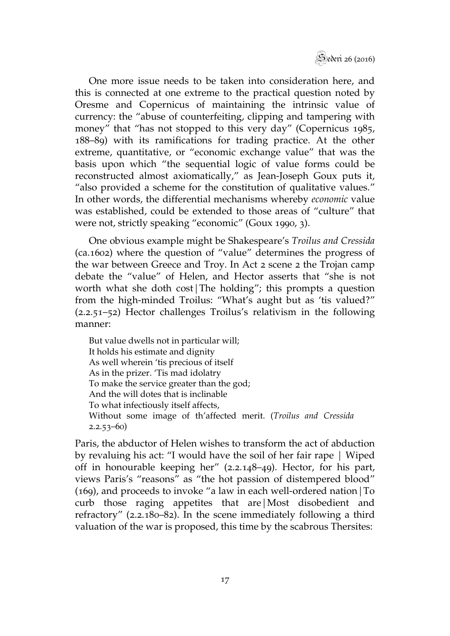

One more issue needs to be taken into consideration here, and this is connected at one extreme to the practical question noted by Oresme and Copernicus of maintaining the intrinsic value of currency: the "abuse of counterfeiting, clipping and tampering with money" that "has not stopped to this very day" (Copernicus 1985, 188–89) with its ramifications for trading practice. At the other extreme, quantitative, or "economic exchange value" that was the basis upon which "the sequential logic of value forms could be reconstructed almost axiomatically," as Jean-Joseph Goux puts it, "also provided a scheme for the constitution of qualitative values." In other words, the differential mechanisms whereby *economic* value was established, could be extended to those areas of "culture" that were not, strictly speaking "economic" (Goux 1990, 3).

One obvious example might be Shakespeare's *Troilus and Cressida* (ca.1602) where the question of "value" determines the progress of the war between Greece and Troy. In Act 2 scene 2 the Trojan camp debate the "value" of Helen, and Hector asserts that "she is not worth what she doth cost|The holding"; this prompts a question from the high-minded Troilus: "What's aught but as 'tis valued?" (2.2.51–52) Hector challenges Troilus's relativism in the following manner:

But value dwells not in particular will; It holds his estimate and dignity As well wherein 'tis precious of itself As in the prizer. 'Tis mad idolatry To make the service greater than the god; And the will dotes that is inclinable To what infectiously itself affects, Without some image of th'affected merit. (*Troilus and Cressida* 2.2.53–60)

Paris, the abductor of Helen wishes to transform the act of abduction by revaluing his act: "I would have the soil of her fair rape | Wiped off in honourable keeping her" (2.2.148–49). Hector, for his part, views Paris's "reasons" as "the hot passion of distempered blood" (169), and proceeds to invoke "a law in each well-ordered nation|To curb those raging appetites that are|Most disobedient and refractory" (2.2.180–82). In the scene immediately following a third valuation of the war is proposed, this time by the scabrous Thersites: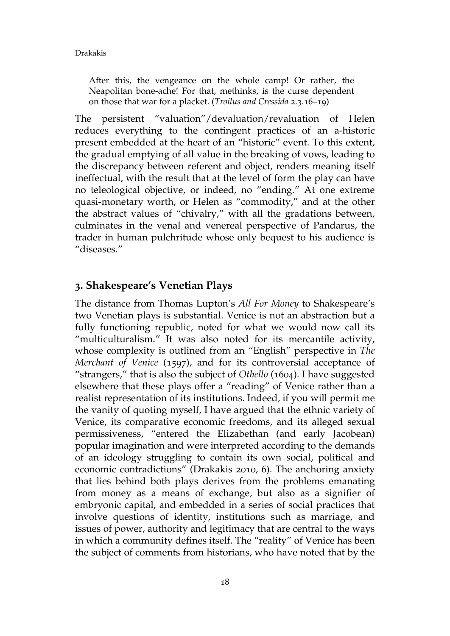After this, the vengeance on the whole camp! Or rather, the Neapolitan bone-ache! For that, methinks, is the curse dependent on those that war for a placket. (*Troilus and Cressida* 2.3.16–19)

The persistent "valuation"/devaluation/revaluation of Helen reduces everything to the contingent practices of an a-historic present embedded at the heart of an "historic" event. To this extent, the gradual emptying of all value in the breaking of vows, leading to the discrepancy between referent and object, renders meaning itself ineffectual, with the result that at the level of form the play can have no teleological objective, or indeed, no "ending." At one extreme quasi-monetary worth, or Helen as "commodity," and at the other the abstract values of "chivalry," with all the gradations between, culminates in the venal and venereal perspective of Pandarus, the trader in human pulchritude whose only bequest to his audience is "diseases."

## **3. Shakespeare's Venetian Plays**

The distance from Thomas Lupton's *All For Money* to Shakespeare's two Venetian plays is substantial. Venice is not an abstraction but a fully functioning republic, noted for what we would now call its "multiculturalism." It was also noted for its mercantile activity, whose complexity is outlined from an "English" perspective in *The Merchant of Venice* (1597), and for its controversial acceptance of "strangers," that is also the subject of *Othello* (1604). I have suggested elsewhere that these plays offer a "reading" of Venice rather than a realist representation of its institutions. Indeed, if you will permit me the vanity of quoting myself, I have argued that the ethnic variety of Venice, its comparative economic freedoms, and its alleged sexual permissiveness, "entered the Elizabethan (and early Jacobean) popular imagination and were interpreted according to the demands of an ideology struggling to contain its own social, political and economic contradictions" (Drakakis 2010, 6). The anchoring anxiety that lies behind both plays derives from the problems emanating from money as a means of exchange, but also as a signifier of embryonic capital, and embedded in a series of social practices that involve questions of identity, institutions such as marriage, and issues of power, authority and legitimacy that are central to the ways in which a community defines itself. The "reality" of Venice has been the subject of comments from historians, who have noted that by the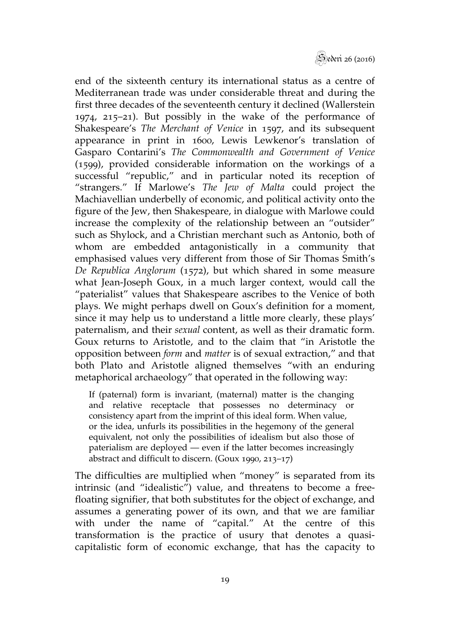

end of the sixteenth century its international status as a centre of Mediterranean trade was under considerable threat and during the first three decades of the seventeenth century it declined (Wallerstein 1974, 215–21). But possibly in the wake of the performance of Shakespeare's *The Merchant of Venice* in 1597, and its subsequent appearance in print in 1600, Lewis Lewkenor's translation of Gasparo Contarini's *The Commonwealth and Government of Venice* (1599), provided considerable information on the workings of a successful "republic," and in particular noted its reception of "strangers." If Marlowe's *The Jew of Malta* could project the Machiavellian underbelly of economic, and political activity onto the figure of the Jew, then Shakespeare, in dialogue with Marlowe could increase the complexity of the relationship between an "outsider" such as Shylock, and a Christian merchant such as Antonio, both of whom are embedded antagonistically in a community that emphasised values very different from those of Sir Thomas Smith's *De Republica Anglorum* (1572), but which shared in some measure what Jean-Joseph Goux, in a much larger context, would call the "paterialist" values that Shakespeare ascribes to the Venice of both plays. We might perhaps dwell on Goux's definition for a moment, since it may help us to understand a little more clearly, these plays' paternalism, and their *sexual* content, as well as their dramatic form. Goux returns to Aristotle, and to the claim that "in Aristotle the opposition between *form* and *matter* is of sexual extraction," and that both Plato and Aristotle aligned themselves "with an enduring metaphorical archaeology" that operated in the following way:

If (paternal) form is invariant, (maternal) matter is the changing and relative receptacle that possesses no determinacy or consistency apart from the imprint of this ideal form. When value, or the idea, unfurls its possibilities in the hegemony of the general equivalent, not only the possibilities of idealism but also those of paterialism are deployed — even if the latter becomes increasingly abstract and difficult to discern. (Goux 1990, 213–17)

The difficulties are multiplied when "money" is separated from its intrinsic (and "idealistic") value, and threatens to become a freefloating signifier, that both substitutes for the object of exchange, and assumes a generating power of its own, and that we are familiar with under the name of "capital." At the centre of this transformation is the practice of usury that denotes a quasicapitalistic form of economic exchange, that has the capacity to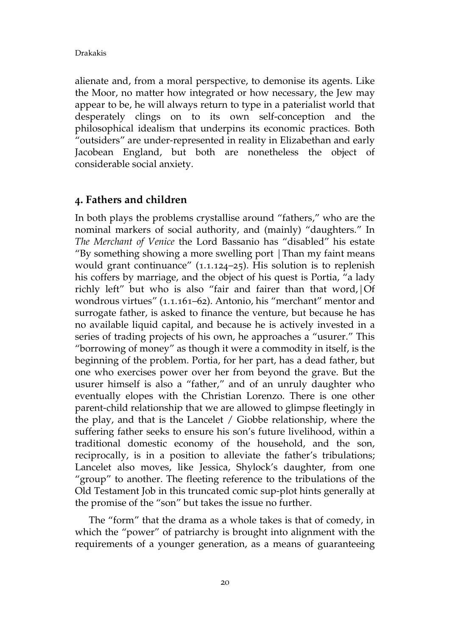alienate and, from a moral perspective, to demonise its agents. Like the Moor, no matter how integrated or how necessary, the Jew may appear to be, he will always return to type in a paterialist world that desperately clings on to its own self-conception and the philosophical idealism that underpins its economic practices. Both "outsiders" are under-represented in reality in Elizabethan and early Jacobean England, but both are nonetheless the object of considerable social anxiety.

## **4. Fathers and children**

In both plays the problems crystallise around "fathers," who are the nominal markers of social authority, and (mainly) "daughters." In *The Merchant of Venice* the Lord Bassanio has "disabled" his estate "By something showing a more swelling port |Than my faint means would grant continuance" (1.1.124–25). His solution is to replenish his coffers by marriage, and the object of his quest is Portia, "a lady richly left" but who is also "fair and fairer than that word,|Of wondrous virtues" (1.1.161–62). Antonio, his "merchant" mentor and surrogate father, is asked to finance the venture, but because he has no available liquid capital, and because he is actively invested in a series of trading projects of his own, he approaches a "usurer." This "borrowing of money" as though it were a commodity in itself, is the beginning of the problem. Portia, for her part, has a dead father, but one who exercises power over her from beyond the grave. But the usurer himself is also a "father," and of an unruly daughter who eventually elopes with the Christian Lorenzo. There is one other parent-child relationship that we are allowed to glimpse fleetingly in the play, and that is the Lancelet / Giobbe relationship, where the suffering father seeks to ensure his son's future livelihood, within a traditional domestic economy of the household, and the son, reciprocally, is in a position to alleviate the father's tribulations; Lancelet also moves, like Jessica, Shylock's daughter, from one "group" to another. The fleeting reference to the tribulations of the Old Testament Job in this truncated comic sup-plot hints generally at the promise of the "son" but takes the issue no further.

The "form" that the drama as a whole takes is that of comedy, in which the "power" of patriarchy is brought into alignment with the requirements of a younger generation, as a means of guaranteeing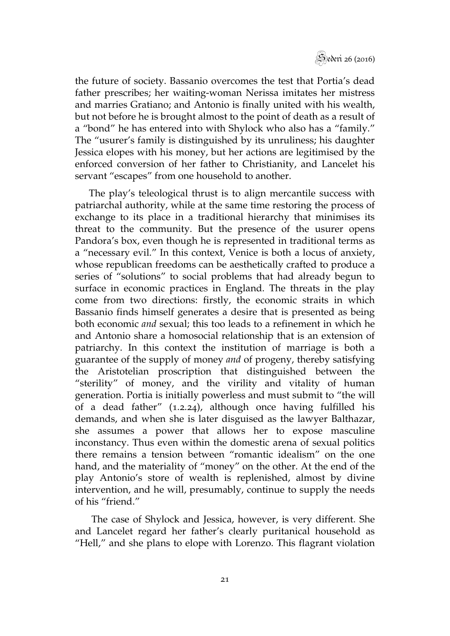

the future of society. Bassanio overcomes the test that Portia's dead father prescribes; her waiting-woman Nerissa imitates her mistress and marries Gratiano; and Antonio is finally united with his wealth, but not before he is brought almost to the point of death as a result of a "bond" he has entered into with Shylock who also has a "family." The "usurer's family is distinguished by its unruliness; his daughter Jessica elopes with his money, but her actions are legitimised by the enforced conversion of her father to Christianity, and Lancelet his servant "escapes" from one household to another.

The play's teleological thrust is to align mercantile success with patriarchal authority, while at the same time restoring the process of exchange to its place in a traditional hierarchy that minimises its threat to the community. But the presence of the usurer opens Pandora's box, even though he is represented in traditional terms as a "necessary evil." In this context, Venice is both a locus of anxiety, whose republican freedoms can be aesthetically crafted to produce a series of "solutions" to social problems that had already begun to surface in economic practices in England. The threats in the play come from two directions: firstly, the economic straits in which Bassanio finds himself generates a desire that is presented as being both economic *and* sexual; this too leads to a refinement in which he and Antonio share a homosocial relationship that is an extension of patriarchy. In this context the institution of marriage is both a guarantee of the supply of money *and* of progeny, thereby satisfying the Aristotelian proscription that distinguished between the "sterility" of money, and the virility and vitality of human generation. Portia is initially powerless and must submit to "the will of a dead father"  $(1.2.24)$ , although once having fulfilled his demands, and when she is later disguised as the lawyer Balthazar, she assumes a power that allows her to expose masculine inconstancy. Thus even within the domestic arena of sexual politics there remains a tension between "romantic idealism" on the one hand, and the materiality of "money" on the other. At the end of the play Antonio's store of wealth is replenished, almost by divine intervention, and he will, presumably, continue to supply the needs of his "friend."

 The case of Shylock and Jessica, however, is very different. She and Lancelet regard her father's clearly puritanical household as "Hell," and she plans to elope with Lorenzo. This flagrant violation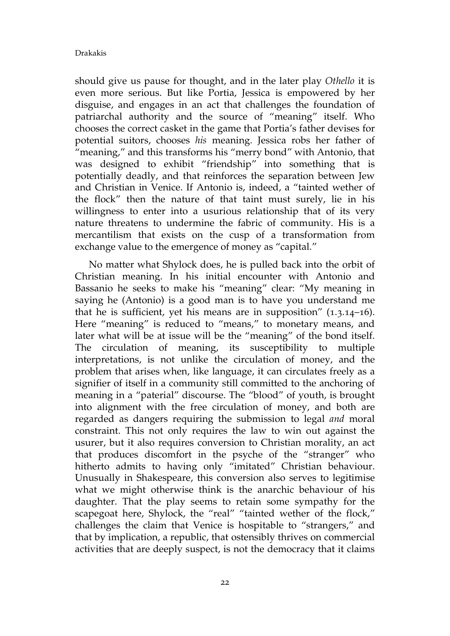should give us pause for thought, and in the later play *Othello* it is even more serious. But like Portia, Jessica is empowered by her disguise, and engages in an act that challenges the foundation of patriarchal authority and the source of "meaning" itself. Who chooses the correct casket in the game that Portia's father devises for potential suitors, chooses *his* meaning. Jessica robs her father of "meaning," and this transforms his "merry bond" with Antonio, that was designed to exhibit "friendship" into something that is potentially deadly, and that reinforces the separation between Jew and Christian in Venice. If Antonio is, indeed, a "tainted wether of the flock" then the nature of that taint must surely, lie in his willingness to enter into a usurious relationship that of its very nature threatens to undermine the fabric of community. His is a mercantilism that exists on the cusp of a transformation from exchange value to the emergence of money as "capital."

No matter what Shylock does, he is pulled back into the orbit of Christian meaning. In his initial encounter with Antonio and Bassanio he seeks to make his "meaning" clear: "My meaning in saying he (Antonio) is a good man is to have you understand me that he is sufficient, yet his means are in supposition"  $(1.3.14-16)$ . Here "meaning" is reduced to "means," to monetary means, and later what will be at issue will be the "meaning" of the bond itself. The circulation of meaning, its susceptibility to multiple interpretations, is not unlike the circulation of money, and the problem that arises when, like language, it can circulates freely as a signifier of itself in a community still committed to the anchoring of meaning in a "paterial" discourse. The "blood" of youth, is brought into alignment with the free circulation of money, and both are regarded as dangers requiring the submission to legal *and* moral constraint. This not only requires the law to win out against the usurer, but it also requires conversion to Christian morality, an act that produces discomfort in the psyche of the "stranger" who hitherto admits to having only "imitated" Christian behaviour. Unusually in Shakespeare, this conversion also serves to legitimise what we might otherwise think is the anarchic behaviour of his daughter. That the play seems to retain some sympathy for the scapegoat here, Shylock, the "real" "tainted wether of the flock," challenges the claim that Venice is hospitable to "strangers," and that by implication, a republic, that ostensibly thrives on commercial activities that are deeply suspect, is not the democracy that it claims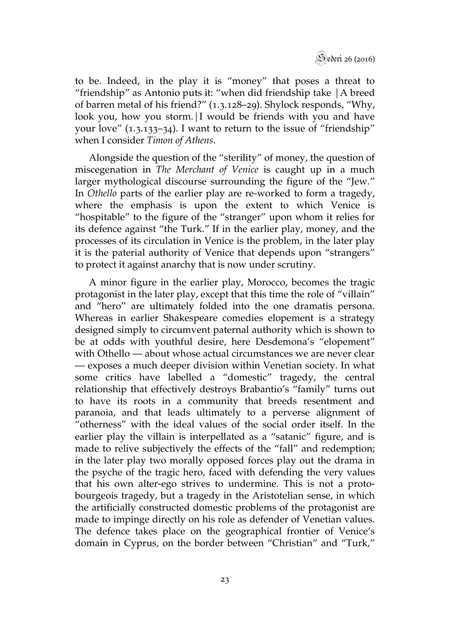

to be. Indeed, in the play it is "money" that poses a threat to "friendship" as Antonio puts it: "when did friendship take |A breed of barren metal of his friend?" (1.3.128–29). Shylock responds, "Why, look you, how you storm. I would be friends with you and have your love"  $(1.3.133-34)$ . I want to return to the issue of "friendship" when I consider *Timon of Athens*.

Alongside the question of the "sterility" of money, the question of miscegenation in *The Merchant of Venice* is caught up in a much larger mythological discourse surrounding the figure of the "Jew." In *Othello* parts of the earlier play are re-worked to form a tragedy, where the emphasis is upon the extent to which Venice is "hospitable" to the figure of the "stranger" upon whom it relies for its defence against "the Turk." If in the earlier play, money, and the processes of its circulation in Venice is the problem, in the later play it is the paterial authority of Venice that depends upon "strangers" to protect it against anarchy that is now under scrutiny.

A minor figure in the earlier play, Morocco, becomes the tragic protagonist in the later play, except that this time the role of "villain" and "hero" are ultimately folded into the one dramatis persona. Whereas in earlier Shakespeare comedies elopement is a strategy designed simply to circumvent paternal authority which is shown to be at odds with youthful desire, here Desdemona's "elopement" with Othello — about whose actual circumstances we are never clear — exposes a much deeper division within Venetian society. In what some critics have labelled a "domestic" tragedy, the central relationship that effectively destroys Brabantio's "family" turns out to have its roots in a community that breeds resentment and paranoia, and that leads ultimately to a perverse alignment of "otherness" with the ideal values of the social order itself. In the earlier play the villain is interpellated as a "satanic" figure, and is made to relive subjectively the effects of the "fall" and redemption; in the later play two morally opposed forces play out the drama in the psyche of the tragic hero, faced with defending the very values that his own alter-ego strives to undermine. This is not a protobourgeois tragedy, but a tragedy in the Aristotelian sense, in which the artificially constructed domestic problems of the protagonist are made to impinge directly on his role as defender of Venetian values. The defence takes place on the geographical frontier of Venice's domain in Cyprus, on the border between "Christian" and "Turk,"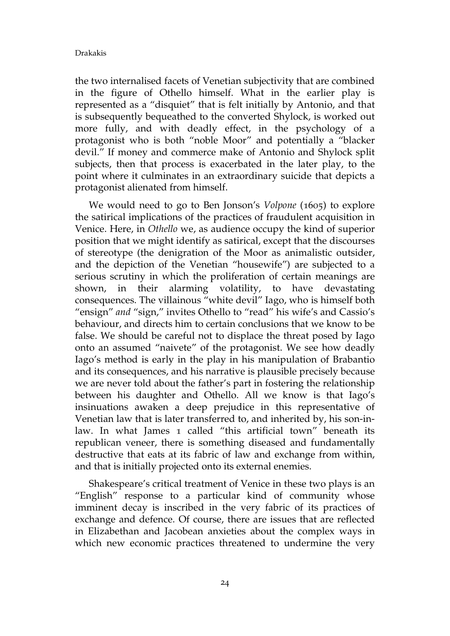the two internalised facets of Venetian subjectivity that are combined in the figure of Othello himself. What in the earlier play is represented as a "disquiet" that is felt initially by Antonio, and that is subsequently bequeathed to the converted Shylock, is worked out more fully, and with deadly effect, in the psychology of a protagonist who is both "noble Moor" and potentially a "blacker devil." If money and commerce make of Antonio and Shylock split subjects, then that process is exacerbated in the later play, to the point where it culminates in an extraordinary suicide that depicts a protagonist alienated from himself.

We would need to go to Ben Jonson's *Volpone* (1605) to explore the satirical implications of the practices of fraudulent acquisition in Venice. Here, in *Othello* we, as audience occupy the kind of superior position that we might identify as satirical, except that the discourses of stereotype (the denigration of the Moor as animalistic outsider, and the depiction of the Venetian "housewife") are subjected to a serious scrutiny in which the proliferation of certain meanings are shown, in their alarming volatility, to have devastating consequences. The villainous "white devil" Iago, who is himself both "ensign" *and* "sign," invites Othello to "read" his wife's and Cassio's behaviour, and directs him to certain conclusions that we know to be false. We should be careful not to displace the threat posed by Iago onto an assumed "naivete" of the protagonist. We see how deadly Iago's method is early in the play in his manipulation of Brabantio and its consequences, and his narrative is plausible precisely because we are never told about the father's part in fostering the relationship between his daughter and Othello. All we know is that Iago's insinuations awaken a deep prejudice in this representative of Venetian law that is later transferred to, and inherited by, his son-inlaw. In what James 1 called "this artificial town" beneath its republican veneer, there is something diseased and fundamentally destructive that eats at its fabric of law and exchange from within, and that is initially projected onto its external enemies.

Shakespeare's critical treatment of Venice in these two plays is an "English" response to a particular kind of community whose imminent decay is inscribed in the very fabric of its practices of exchange and defence. Of course, there are issues that are reflected in Elizabethan and Jacobean anxieties about the complex ways in which new economic practices threatened to undermine the very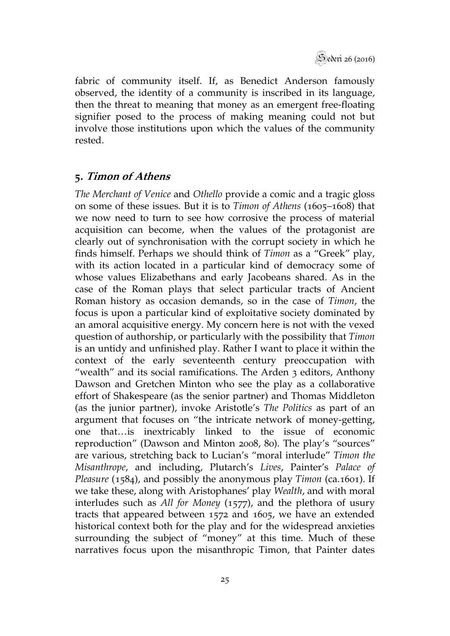

fabric of community itself. If, as Benedict Anderson famously observed, the identity of a community is inscribed in its language, then the threat to meaning that money as an emergent free-floating signifier posed to the process of making meaning could not but involve those institutions upon which the values of the community rested.

## **5. Timon of Athens**

*The Merchant of Venice* and *Othello* provide a comic and a tragic gloss on some of these issues. But it is to *Timon of Athens* (1605–1608) that we now need to turn to see how corrosive the process of material acquisition can become, when the values of the protagonist are clearly out of synchronisation with the corrupt society in which he finds himself. Perhaps we should think of *Timon* as a "Greek" play, with its action located in a particular kind of democracy some of whose values Elizabethans and early Jacobeans shared. As in the case of the Roman plays that select particular tracts of Ancient Roman history as occasion demands, so in the case of *Timon*, the focus is upon a particular kind of exploitative society dominated by an amoral acquisitive energy. My concern here is not with the vexed question of authorship, or particularly with the possibility that *Timon* is an untidy and unfinished play. Rather I want to place it within the context of the early seventeenth century preoccupation with "wealth" and its social ramifications. The Arden 3 editors, Anthony Dawson and Gretchen Minton who see the play as a collaborative effort of Shakespeare (as the senior partner) and Thomas Middleton (as the junior partner), invoke Aristotle's *The Politics* as part of an argument that focuses on "the intricate network of money-getting, one that…is inextricably linked to the issue of economic reproduction" (Dawson and Minton 2008, 80). The play's "sources" are various, stretching back to Lucian's "moral interlude" *Timon the Misanthrope*, and including, Plutarch's *Lives*, Painter's *Palace of Pleasure* (1584), and possibly the anonymous play *Timon* (ca.1601). If we take these, along with Aristophanes' play *Wealth*, and with moral interludes such as *All for Money* (1577), and the plethora of usury tracts that appeared between 1572 and 1605, we have an extended historical context both for the play and for the widespread anxieties surrounding the subject of "money" at this time. Much of these narratives focus upon the misanthropic Timon, that Painter dates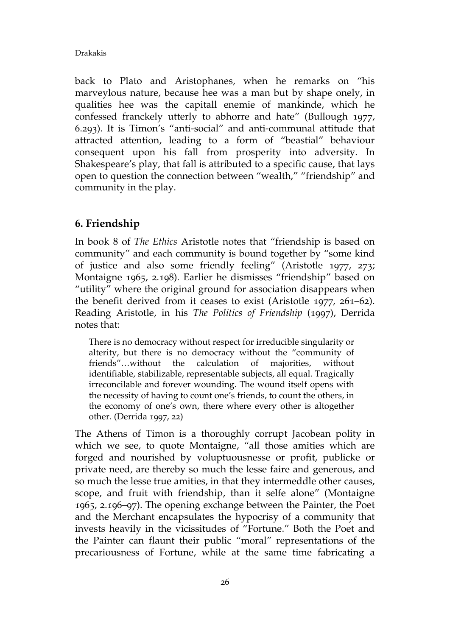back to Plato and Aristophanes, when he remarks on "his marveylous nature, because hee was a man but by shape onely, in qualities hee was the capitall enemie of mankinde, which he confessed franckely utterly to abhorre and hate" (Bullough 1977, 6.293). It is Timon's "anti-social" and anti-communal attitude that attracted attention, leading to a form of "beastial" behaviour consequent upon his fall from prosperity into adversity. In Shakespeare's play, that fall is attributed to a specific cause, that lays open to question the connection between "wealth," "friendship" and community in the play.

## **6. Friendship**

In book 8 of *The Ethics* Aristotle notes that "friendship is based on community" and each community is bound together by "some kind of justice and also some friendly feeling" (Aristotle 1977, 273; Montaigne 1965, 2.198). Earlier he dismisses "friendship" based on "utility" where the original ground for association disappears when the benefit derived from it ceases to exist (Aristotle 1977, 261–62). Reading Aristotle, in his *The Politics of Friendship* (1997), Derrida notes that:

There is no democracy without respect for irreducible singularity or alterity, but there is no democracy without the "community of friends"…without the calculation of majorities, without identifiable, stabilizable, representable subjects, all equal. Tragically irreconcilable and forever wounding. The wound itself opens with the necessity of having to count one's friends, to count the others, in the economy of one's own, there where every other is altogether other. (Derrida 1997, 22)

The Athens of Timon is a thoroughly corrupt Jacobean polity in which we see, to quote Montaigne, "all those amities which are forged and nourished by voluptuousnesse or profit, publicke or private need, are thereby so much the lesse faire and generous, and so much the lesse true amities, in that they intermeddle other causes, scope, and fruit with friendship, than it selfe alone" (Montaigne 1965, 2.196–97). The opening exchange between the Painter, the Poet and the Merchant encapsulates the hypocrisy of a community that invests heavily in the vicissitudes of "Fortune." Both the Poet and the Painter can flaunt their public "moral" representations of the precariousness of Fortune, while at the same time fabricating a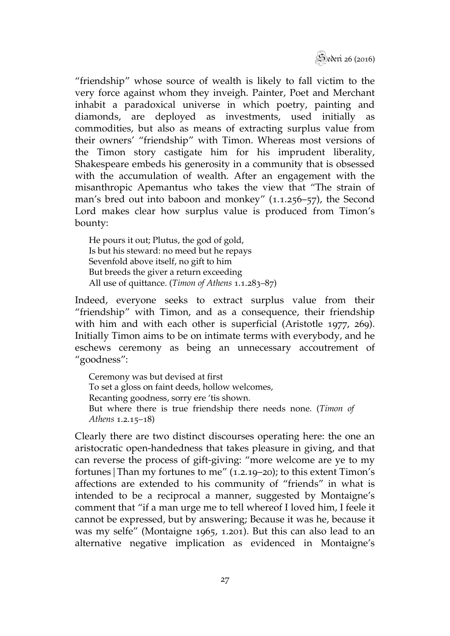

"friendship" whose source of wealth is likely to fall victim to the very force against whom they inveigh. Painter, Poet and Merchant inhabit a paradoxical universe in which poetry, painting and diamonds, are deployed as investments, used initially as commodities, but also as means of extracting surplus value from their owners' "friendship" with Timon. Whereas most versions of the Timon story castigate him for his imprudent liberality, Shakespeare embeds his generosity in a community that is obsessed with the accumulation of wealth. After an engagement with the misanthropic Apemantus who takes the view that "The strain of man's bred out into baboon and monkey" (1.1.256–57), the Second Lord makes clear how surplus value is produced from Timon's bounty:

He pours it out; Plutus, the god of gold, Is but his steward: no meed but he repays Sevenfold above itself, no gift to him But breeds the giver a return exceeding All use of quittance. (*Timon of Athens* 1.1.283–87)

Indeed, everyone seeks to extract surplus value from their "friendship" with Timon, and as a consequence, their friendship with him and with each other is superficial (Aristotle 1977, 269). Initially Timon aims to be on intimate terms with everybody, and he eschews ceremony as being an unnecessary accoutrement of "goodness":

Ceremony was but devised at first To set a gloss on faint deeds, hollow welcomes, Recanting goodness, sorry ere 'tis shown. But where there is true friendship there needs none. (*Timon of Athens* 1.2.15–18)

Clearly there are two distinct discourses operating here: the one an aristocratic open-handedness that takes pleasure in giving, and that can reverse the process of gift-giving: "more welcome are ye to my fortunes|Than my fortunes to me" (1.2.19–20); to this extent Timon's affections are extended to his community of "friends" in what is intended to be a reciprocal a manner, suggested by Montaigne's comment that "if a man urge me to tell whereof I loved him, I feele it cannot be expressed, but by answering; Because it was he, because it was my selfe" (Montaigne 1965, 1.201). But this can also lead to an alternative negative implication as evidenced in Montaigne's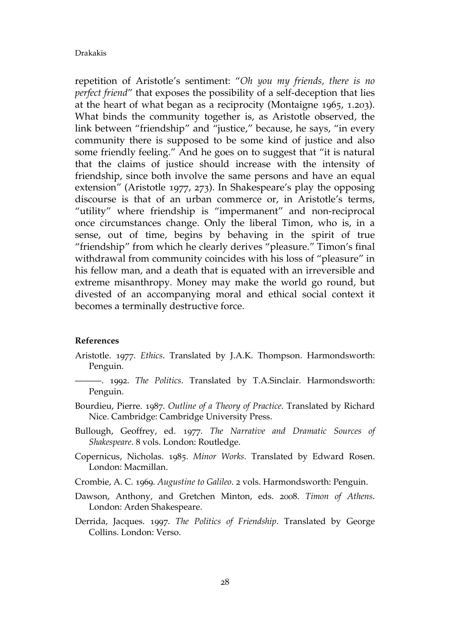repetition of Aristotle's sentiment: "*Oh you my friends, there is no perfect friend*" that exposes the possibility of a self-deception that lies at the heart of what began as a reciprocity (Montaigne 1965, 1.203). What binds the community together is, as Aristotle observed, the link between "friendship" and "justice," because, he says, "in every community there is supposed to be some kind of justice and also some friendly feeling." And he goes on to suggest that "it is natural that the claims of justice should increase with the intensity of friendship, since both involve the same persons and have an equal extension" (Aristotle 1977, 273). In Shakespeare's play the opposing discourse is that of an urban commerce or, in Aristotle's terms, "utility" where friendship is "impermanent" and non-reciprocal once circumstances change. Only the liberal Timon, who is, in a sense, out of time, begins by behaving in the spirit of true "friendship" from which he clearly derives "pleasure." Timon's final withdrawal from community coincides with his loss of "pleasure" in his fellow man, and a death that is equated with an irreversible and extreme misanthropy. Money may make the world go round, but divested of an accompanying moral and ethical social context it becomes a terminally destructive force.

#### **References**

- Aristotle. 1977. *Ethics*. Translated by J.A.K. Thompson. Harmondsworth: Penguin.
	- ———. 1992. *The Politics*. Translated by T.A.Sinclair. Harmondsworth: Penguin.
- Bourdieu, Pierre. 1987. *Outline of a Theory of Practice*. Translated by Richard Nice. Cambridge: Cambridge University Press.
- Bullough, Geoffrey, ed. 1977. *The Narrative and Dramatic Sources of Shakespeare*. 8 vols. London: Routledge.
- Copernicus, Nicholas. 1985. *Minor Works*. Translated by Edward Rosen. London: Macmillan.
- Crombie, A. C. 1969. *Augustine to Galileo*. 2 vols. Harmondsworth: Penguin.
- Dawson, Anthony, and Gretchen Minton, eds. 2008. *Timon of Athens*. London: Arden Shakespeare.
- Derrida, Jacques. 1997. *The Politics of Friendship*. Translated by George Collins. London: Verso.